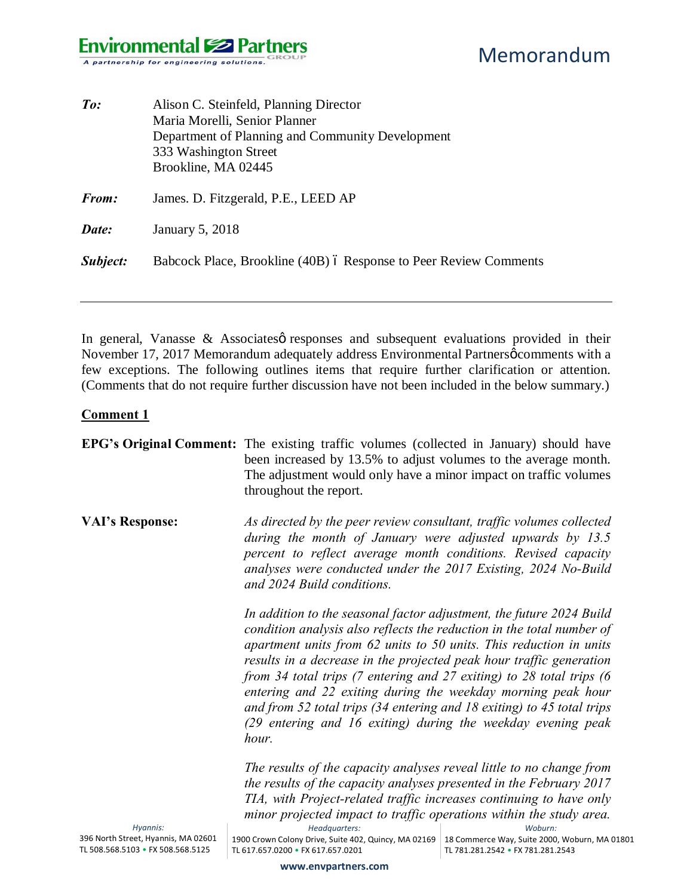| $\mathit{To}$ : | Alison C. Steinfeld, Planning Director<br>Maria Morelli, Senior Planner<br>Department of Planning and Community Development<br>333 Washington Street<br>Brookline, MA 02445 |
|-----------------|-----------------------------------------------------------------------------------------------------------------------------------------------------------------------------|
| <b>From:</b>    | James. D. Fitzgerald, P.E., LEED AP                                                                                                                                         |
| Date:           | January 5, 2018                                                                                                                                                             |
| Subject:        | Babcock Place, Brookline (40B) ó Response to Peer Review Comments                                                                                                           |

In general, Vanasse  $\&$  Associates presponses and subsequent evaluations provided in their November 17, 2017 Memorandum adequately address Environmental Partnersø comments with a few exceptions. The following outlines items that require further clarification or attention. (Comments that do not require further discussion have not been included in the below summary.)

#### **Comment 1**

|                                                 | <b>EPG's Original Comment:</b> The existing traffic volumes (collected in January) should have<br>been increased by 13.5% to adjust volumes to the average month.<br>The adjustment would only have a minor impact on traffic volumes<br>throughout the report.                                                                                                                                                                                                                                                                                                                       |                                                          |  |
|-------------------------------------------------|---------------------------------------------------------------------------------------------------------------------------------------------------------------------------------------------------------------------------------------------------------------------------------------------------------------------------------------------------------------------------------------------------------------------------------------------------------------------------------------------------------------------------------------------------------------------------------------|----------------------------------------------------------|--|
| <b>VAI's Response:</b>                          | As directed by the peer review consultant, traffic volumes collected<br>during the month of January were adjusted upwards by 13.5<br>percent to reflect average month conditions. Revised capacity<br>analyses were conducted under the 2017 Existing, 2024 No-Build<br>and 2024 Build conditions.                                                                                                                                                                                                                                                                                    |                                                          |  |
|                                                 | In addition to the seasonal factor adjustment, the future 2024 Build<br>condition analysis also reflects the reduction in the total number of<br>apartment units from 62 units to 50 units. This reduction in units<br>results in a decrease in the projected peak hour traffic generation<br>from 34 total trips (7 entering and 27 exiting) to 28 total trips (6<br>entering and 22 exiting during the weekday morning peak hour<br>and from 52 total trips (34 entering and 18 exiting) to 45 total trips<br>(29 entering and 16 exiting) during the weekday evening peak<br>hour. |                                                          |  |
|                                                 | The results of the capacity analyses reveal little to no change from<br>the results of the capacity analyses presented in the February 2017                                                                                                                                                                                                                                                                                                                                                                                                                                           |                                                          |  |
|                                                 | TIA, with Project-related traffic increases continuing to have only                                                                                                                                                                                                                                                                                                                                                                                                                                                                                                                   |                                                          |  |
|                                                 | minor projected impact to traffic operations within the study area.                                                                                                                                                                                                                                                                                                                                                                                                                                                                                                                   |                                                          |  |
| Hyannis:<br>396 North Street, Hyannis, MA 02601 | Headquarters:<br>1900 Crown Colony Drive, Suite 402, Quincy, MA 02169                                                                                                                                                                                                                                                                                                                                                                                                                                                                                                                 | Woburn:<br>18 Commerce Way, Suite 2000, Woburn, MA 01801 |  |
| TL 508.568.5103 • FX 508.568.5125               | TL 617.657.0200 • FX 617.657.0201                                                                                                                                                                                                                                                                                                                                                                                                                                                                                                                                                     | TL 781.281.2542 • FX 781.281.2543                        |  |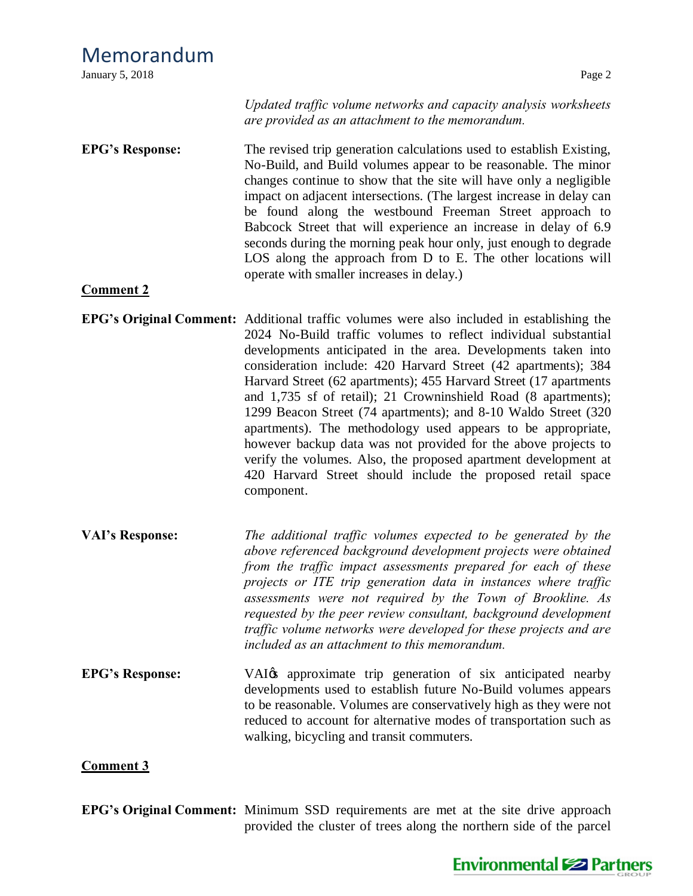## Memorandum

| January 5, 2018                            | Page 2                                                                                                                                                                                                                                                                                                                                                                                                                                                                                                                                                                                                                                                                                                                                                                                            |
|--------------------------------------------|---------------------------------------------------------------------------------------------------------------------------------------------------------------------------------------------------------------------------------------------------------------------------------------------------------------------------------------------------------------------------------------------------------------------------------------------------------------------------------------------------------------------------------------------------------------------------------------------------------------------------------------------------------------------------------------------------------------------------------------------------------------------------------------------------|
|                                            | Updated traffic volume networks and capacity analysis worksheets<br>are provided as an attachment to the memorandum.                                                                                                                                                                                                                                                                                                                                                                                                                                                                                                                                                                                                                                                                              |
| <b>EPG's Response:</b><br><b>Comment 2</b> | The revised trip generation calculations used to establish Existing,<br>No-Build, and Build volumes appear to be reasonable. The minor<br>changes continue to show that the site will have only a negligible<br>impact on adjacent intersections. (The largest increase in delay can<br>be found along the westbound Freeman Street approach to<br>Babcock Street that will experience an increase in delay of 6.9<br>seconds during the morning peak hour only, just enough to degrade<br>LOS along the approach from D to E. The other locations will<br>operate with smaller increases in delay.)                                                                                                                                                                                              |
|                                            | <b>EPG's Original Comment:</b> Additional traffic volumes were also included in establishing the<br>2024 No-Build traffic volumes to reflect individual substantial<br>developments anticipated in the area. Developments taken into<br>consideration include: 420 Harvard Street (42 apartments); 384<br>Harvard Street (62 apartments); 455 Harvard Street (17 apartments<br>and 1,735 sf of retail); 21 Crowninshield Road (8 apartments);<br>1299 Beacon Street (74 apartments); and 8-10 Waldo Street (320<br>apartments). The methodology used appears to be appropriate,<br>however backup data was not provided for the above projects to<br>verify the volumes. Also, the proposed apartment development at<br>420 Harvard Street should include the proposed retail space<br>component. |
| <b>VAI's Response:</b>                     | The additional traffic volumes expected to be generated by the<br>above referenced background development projects were obtained<br>from the traffic impact assessments prepared for each of these<br>projects or ITE trip generation data in instances where traffic<br>assessments were not required by the Town of Brookline. As<br>requested by the peer review consultant, background development<br>traffic volume networks were developed for these projects and are<br>included as an attachment to this memorandum.                                                                                                                                                                                                                                                                      |
| <b>EPG's Response:</b>                     | VAI <sub>0</sub> approximate trip generation of six anticipated nearby<br>developments used to establish future No-Build volumes appears<br>to be reasonable. Volumes are conservatively high as they were not<br>reduced to account for alternative modes of transportation such as<br>walking, bicycling and transit commuters.                                                                                                                                                                                                                                                                                                                                                                                                                                                                 |
| <b>Comment 3</b>                           |                                                                                                                                                                                                                                                                                                                                                                                                                                                                                                                                                                                                                                                                                                                                                                                                   |

**EPG's Original Comment:** Minimum SSD requirements are met at the site drive approach provided the cluster of trees along the northern side of the parcel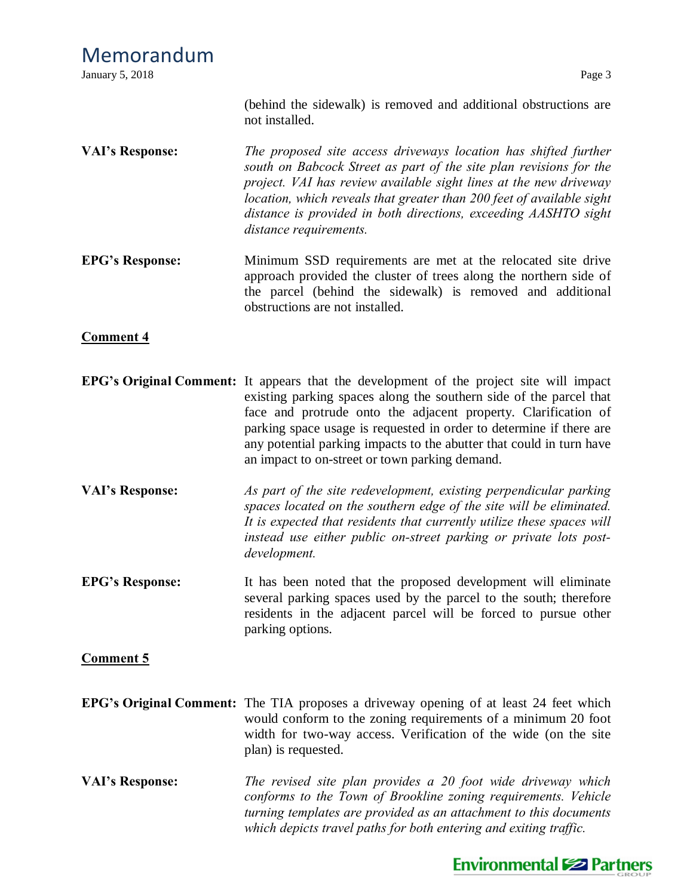### Memorandum **January 5, 2018** Page 3 (behind the sidewalk) is removed and additional obstructions are not installed. **VAI's Response:** *The proposed site access driveways location has shifted further south on Babcock Street as part of the site plan revisions for the project. VAI has review available sight lines at the new driveway location, which reveals that greater than 200 feet of available sight distance is provided in both directions, exceeding AASHTO sight distance requirements.* **EPG's Response:** Minimum SSD requirements are met at the relocated site drive approach provided the cluster of trees along the northern side of the parcel (behind the sidewalk) is removed and additional obstructions are not installed.

#### **Comment 4**

- **EPG's Original Comment:** It appears that the development of the project site will impact existing parking spaces along the southern side of the parcel that face and protrude onto the adjacent property. Clarification of parking space usage is requested in order to determine if there are any potential parking impacts to the abutter that could in turn have an impact to on-street or town parking demand.
- **VAI's Response:** *As part of the site redevelopment, existing perpendicular parking spaces located on the southern edge of the site will be eliminated. It is expected that residents that currently utilize these spaces will instead use either public on-street parking or private lots postdevelopment.*
- **EPG's Response:** It has been noted that the proposed development will eliminate several parking spaces used by the parcel to the south; therefore residents in the adjacent parcel will be forced to pursue other parking options.

#### **Comment 5**

- **EPG's Original Comment:** The TIA proposes a driveway opening of at least 24 feet which would conform to the zoning requirements of a minimum 20 foot width for two-way access. Verification of the wide (on the site plan) is requested.
- **VAI's Response:** *The revised site plan provides a 20 foot wide driveway which conforms to the Town of Brookline zoning requirements. Vehicle turning templates are provided as an attachment to this documents which depicts travel paths for both entering and exiting traffic.*

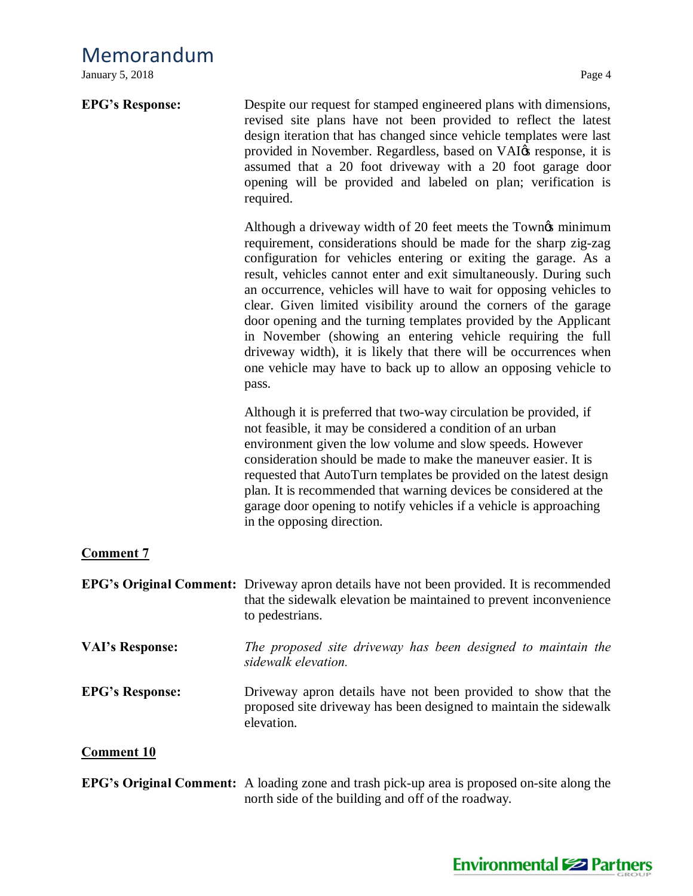### Memorandum

January 5, 2018 Page 4

| <b>EPG's Response:</b> | Despite our request for stamped engineered plans with dimensions,<br>revised site plans have not been provided to reflect the latest<br>design iteration that has changed since vehicle templates were last<br>provided in November. Regardless, based on VAI $\alpha$ response, it is<br>assumed that a 20 foot driveway with a 20 foot garage door<br>opening will be provided and labeled on plan; verification is<br>required.                                                                                                                                                                                                                                                                      |
|------------------------|---------------------------------------------------------------------------------------------------------------------------------------------------------------------------------------------------------------------------------------------------------------------------------------------------------------------------------------------------------------------------------------------------------------------------------------------------------------------------------------------------------------------------------------------------------------------------------------------------------------------------------------------------------------------------------------------------------|
|                        | Although a driveway width of 20 feet meets the Towno minimum<br>requirement, considerations should be made for the sharp zig-zag<br>configuration for vehicles entering or exiting the garage. As a<br>result, vehicles cannot enter and exit simultaneously. During such<br>an occurrence, vehicles will have to wait for opposing vehicles to<br>clear. Given limited visibility around the corners of the garage<br>door opening and the turning templates provided by the Applicant<br>in November (showing an entering vehicle requiring the full<br>driveway width), it is likely that there will be occurrences when<br>one vehicle may have to back up to allow an opposing vehicle to<br>pass. |
|                        | Although it is preferred that two-way circulation be provided, if<br>not feasible, it may be considered a condition of an urban<br>environment given the low volume and slow speeds. However<br>consideration should be made to make the maneuver easier. It is<br>requested that AutoTurn templates be provided on the latest design<br>plan. It is recommended that warning devices be considered at the<br>garage door opening to notify vehicles if a vehicle is approaching<br>in the opposing direction.                                                                                                                                                                                          |
| <b>Comment 7</b>       |                                                                                                                                                                                                                                                                                                                                                                                                                                                                                                                                                                                                                                                                                                         |
|                        | <b>EPG's Original Comment:</b> Driveway apron details have not been provided. It is recommended<br>that the sidewalk elevation be maintained to prevent inconvenience<br>to pedestrians.                                                                                                                                                                                                                                                                                                                                                                                                                                                                                                                |
| <b>VAI's Response:</b> | The proposed site driveway has been designed to maintain the<br>sidewalk elevation.                                                                                                                                                                                                                                                                                                                                                                                                                                                                                                                                                                                                                     |
| <b>EPG's Response:</b> | Driveway apron details have not been provided to show that the<br>proposed site driveway has been designed to maintain the sidewalk<br>elevation.                                                                                                                                                                                                                                                                                                                                                                                                                                                                                                                                                       |
| <b>Comment 10</b>      |                                                                                                                                                                                                                                                                                                                                                                                                                                                                                                                                                                                                                                                                                                         |

**EPG's Original Comment:** A loading zone and trash pick-up area is proposed on-site along the north side of the building and off of the roadway.